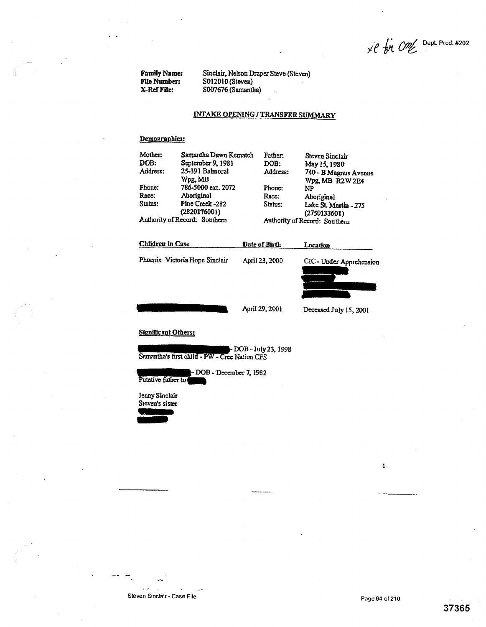$x \in \mathcal{P}$  One Dept Prod. #202

Family Name: Sinclair, Nelson Draper Steve (Steven)<br>File Number: S012010 (Steven) File Number: S012010 (Steven)<br>X-Ref File: S007676 (Samant) S007676 (Samantha)

## **INTAKE OPENING** / **TRANSFER SUMMARY**

## **Demoeranhics:**

| Mother:                       | Samantha Dawn Kematch           | Father:                       | Steven Sinclair                       |
|-------------------------------|---------------------------------|-------------------------------|---------------------------------------|
| DOB:                          | September 9, 1981               | DOB:                          | May 15, 1980                          |
| Address:                      | 25-391 Balmoral                 | Address:                      | 740 - B Magnus Avenue                 |
|                               | Wpg. MB                         |                               | Wpg, MB R2W 2E4                       |
| Phone:                        | 786-5000 ext. 2072              | Phone:                        | NP                                    |
| Race:                         | Aboriginal                      | Race:                         | Aboriginal                            |
| Status:                       | Pine Creek -282<br>(2820176001) | Status:                       | Lake St. Martin - 275<br>(2750133601) |
| Authority of Record: Southern |                                 | Authority of Record: Southern |                                       |



## Significant Others:

- DOB - July 23,1998 Samantha's first child - PW - Cree Nation CFS

-DOB -December 7,1982 Putative father to

Jenny Sinclair Steven's sister

 $\sim$   $\sim$ 

 $\pmb{1}$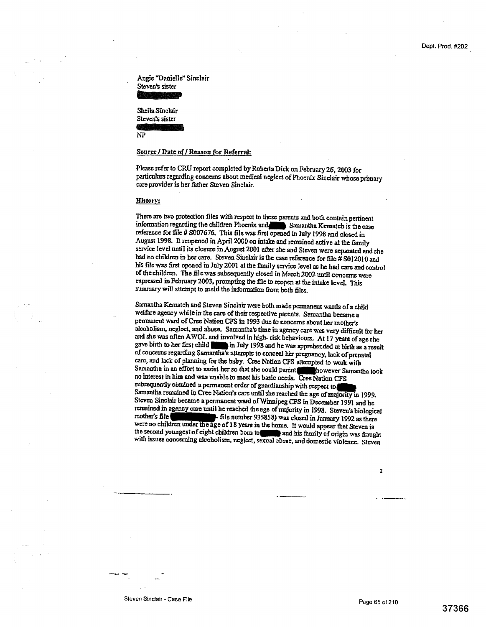**37366** 

 $\overline{z}$ 

Angie Danielle" Sinclair Steven's sister

Sheila Sinclair Steven's sister

NP

#### Source / Date of / Reason for Referral:

Please refer to CRU report completed by Roberta Dick on February 26, 2003 for particulars regarding concerns about medical neglect of phoenix Sinclair whose primary care provider is her father Steven Sinclair.

#### History:

There are two protection files with respect to these parents and both contain pertinent information regarding the children Phoenix and Samantha Kematch is the case reference for file # S007676, This file was first opened in July 1998 and closed in August 199& It reopened in April 2000 on intake and remained active at the family service level until its closure in August 2001 after she and Steven were separated and she had no children in her cars. Steven Sinclair is the case reference for file # S012010 and his filewas first opened in July 2001 at the family service level as he had care and control of the children. The file was subsequently closed in March 2002 until concerns were expressed in February 2003, prompting the file to reopen at the intake level. This summary will attempt to meld the information from both files.

Samantha Kematch and Steven Sinclair were both made permanent wards of a child welfare agency while in the care of their respective parents. Samantha became a permanent ward of Cree Nation CFS in 1993 due to concerns about her mother's alcoholism, neglect, and abuse. Samantha's time in agency care was very difficult for her and she was often AWOL and involved in high- risk behaviours. At 17 years of age she gave birth to her first child in July 1998 and he was apprehended at birth as a result of concerns regarding Samantha's attempts to conceal her pregnancy, lack of prenatal care, and lack of planning for the baby. Cree Nation CFS attempted to work with Samantha in an effort to assist her so that she could parent with however Samantha took no interest in him and was unable to meet his basic needs. Cree Nation CFS subsequently obtained a permanent order of guardianship with respect to Samantha *remained* in Cree Nation's care until she reached the age of majonty in 1999. Steven Sinclair became a permanent ward of Winnipeg CFS in December 199I and he remained in agency care until be reached the age of majority in 1998. Steven's biological mether 935858) was closed in January 1992 as there were no children under the age of 18 years in the home. It would appear that Steven is the second youngest of eight children born to **was had his family of origin was fraught** with issues concerning alcoholism, neglect, sexual abuse, and domestic violence. Steven

Steven Sinclair - Case File Page 65 of 210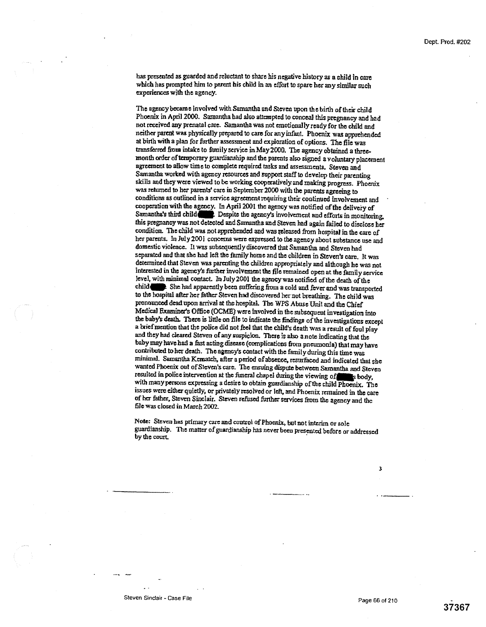has presented as guarded and reluctant to share his negative history as a child in care which has prompted him to parent his child in an effort to spare her any similar such experiences with the agency.

The agency became involved with Samantha and Steven upon the birth of their child Phoenix in April 2000. Samantha had also attempted to conceal this **pregnancy and had not received any** *prenatal* care. Samantha was not emotionally ready for the child and neither parent was physically prepared to care for any infant. Phoenix was apprehended at birth with a plan for further assessment and exploration of options. The file was transferred from intake to family service in May 20D0. The agency obtained a threemonth order of temporary guardianship and the parents also signed a voluntary placement agreement to allow time to complete required tasks and assessments. Steven and Samantha worked with *agency* resources and support staff to develop their parenting skills and they were viewed to be working cooperatively and maldng progress. Phoenix was returned to her parents' care in September 2000 with the parents agreeing to conditions as outlined in a service agreement requiring their continued involvement and cooperation with the agency. In April 200I the agency was notified of the delivery of Samantha's third child Despite the agency's involvement and efforts in monitoring. this pregnancy was not detected and Samantha and Steven had again failed to disclose her condition. The child was not apprehended and was eleased from hospital in the care of her parents. In July 2001 concerns were expressed to the agency about substance use and domestic violence. It was subsequently discovered that Samantha and Steven had separated and that she had left the family home and the children in Steven's care. It was determined that Steven was parenting the children appropriately and although he was not interested in the agencys further involvement the file remained open at the family service level, with minimal contact In July2001 the agency was notified of the death of the child 4W She had apparently been suffering from a cold and fever and was transported to the hospital after her father Steven had discovered her not breathing. The child was pronounced dead upon arrival at the hospital. The WPS Abuse Unit and the Chief Medical Examiner's Office (OCME) were Involved in the subsequent investigation into the baby's death. There is little on file to indicate the findings of the investigations except a brief mention that the police did not feel that the child's death was a result of foul play and they had cleared Steven of any suspicion. There is also a note indicating that the baby may have had a fast acting disease (complications from pneumonia) that may have contributed to her death. The agencys contact with the family during this time was minimal. Samantha Kcnnatch, after a period of absence, resurfaced and indicated that she wanted Phoenix out of Steven's care. The ensuing dispute between Samantha and Steven resulted in police intervention at the funeral chapel during the viewing of stody, with many persons expressing a desire to obtain guardianship of the child Phoenix. The issues were either quietly, or privately resolved or left, and Phoenix remained in the care *of her* father, Steven Sinclair. Steven refused further services from the agency and the file was closed in March 2002

Note: Steven has primary care and control of Phoenix, but not interim or sole guardianship. The matter of guardianship has never been presented before or addressed by the court

Steven Sinclair - Case File Page 66 of 210

 $\overline{\mathbf{3}}$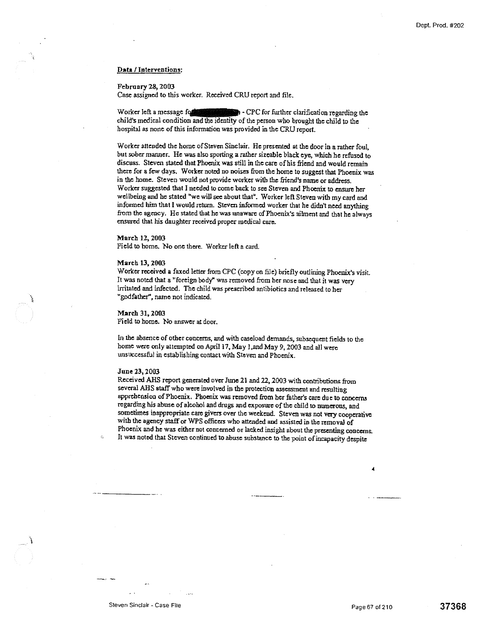#### **Data** / **Interventions:**

#### **February 28,** 2003

Case assigned to this worker. Received CRU report and file.

Worker left a message for some and - CPC for further clarification regarding the child's medical condition and the identity of the person who brought the child to the hospital as none of this information was provided in the CRU report.

Worker attended the home of Steven Sinclair. He presented at the door in a rather foul, but sober manner. He was also sporting a rather sizeable black eye, which he refused to discuss. Steven stated that Phoenix was still in the care of his friend and would remain them for a few days. Worker noted no noises from the home to suggest that Phoenix was in the home. Steven would not provide worker with the friend's name or address. Worker suggested that I needed to come back to see Steven and Phoenix to ensure her wellbeing and he stated "we will see about that". Worker left Steven with my card and informed him that I would return. Steven informed worker that he didn't need anything from the agency. He stated that he was unaware of Phoenix's ailment and that he always ensured that his daughter received proper medical care.

#### March 12, 2003

Field to borne. No one there. Worker left a card.

#### March 13, 2003

Worker received a faxed letter from CPC (copy on file) briefly outlining Phoenix's visit. It was noted that a "foreign body" was removed from her nose and that it was very irritated and infected. The child was prescribed antibiotics and released to her "godfather", name not indicated.

March 31, 2003 Field to home. No answer at door.

In the absence of other concerns, and with caseload demands, subsequent fields to the home were only attempted on April 17, May 1, and May 9, 2003 and all were unsuccessful in establishing contact with Steven and Phoenix.

#### June 23, 2003

Received AHS report generated over June 21 and 22, 2003 with contributions from several ABS staff who were involved *in* the protection assessment and resulting apprehension of Phoenix. *Phoenix was* removed from her father's care due to concerns regarding his abuse of alcohol and drugs and exposure of the child to numerous, and sometimes inappropriate care givers over the weekend. Steven was not very cooperative with the agency staff or WPS officers who attended and assisted in the removal of Phoenix and he was either not concerned or lacked insight about the presenting concerns. It was noted that Steven continued to abuse substance to the point of incapacity despite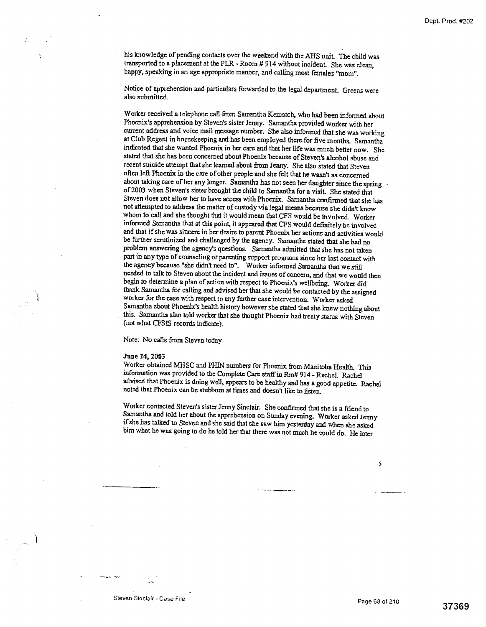his knowledge of pending contacts over the weekend with the AHS unit. The child was transported to a placement at the PLR - Room # 914 without incident. She was clean, happy, speaking in an age appropriate manner, and calling most females "mom".

Notice of apprehension and particulars forwarded to the legal department Greens were also submitted.

Worker received a telephone. call from Samantha Kcmatch, who had been informed about Phoenix's apprehension by Steven's sister Jenny. Samantha provided worker with her current address and voice mail message number. She also informed that she was working at Club Regent in housekeeping and has been employed there for five months. Samantha indicated that she wanted Phoenix in her care and that her life was much better now. She stated that she has been concerned about Phoenix because of Steven's alcohol abuse and recent suicide attempt that she learned about from *Jenny.* She also stated that Steven often left Phoenix in the care of other people and she felt that he wasn't as concerned about taking care of her any longer. Samantha has not seen her daughter since the spring of 2003 when Steven's sister brought the child to Samantha for a visit. She stated that Steven does not allow her to have access with Phoenix. Samantha confirmed that she has not attempted to address the matter of custody via legal means because she didn't know whom to call and she thought that it would mean that CFS would be involved. Worker informed Samantha that at this point, it appeared that CFS would definitely be involved and that if she was sincere in her desire to parent Phoenix her actions and activities would be further scrutinized and challenged by the agency. Samantha stated that she had no problem answering the agency's questions. Samantha admitted that she has not taken part in any type of counseling or parenting support programs since her last contact with the agency because "she didn't need to". Worker informed Samantha that we still needed to talk to Steven about the incident and issues of concern, and that we would then begin to determine a plan of action with respect to Phoenix's wellbeing. Worker did thank Samantha for calling and advised her that she would be contacted by the assigned worker for the case with respect to any further case intervention. Worker asked Samantha about Phoenix's health history however she stated that she knew nothing about this. Samantha also told worker that she thought Phoenix had treaty status with Steven (not what CFSIS records indicate).

Note: No calls from Steven today

#### **June 24,** 2003

Worker obtained MHSC and PHIN numbers for Phoenix from Manitoba Health. This information was provided to the Complete Care staff in Rnt# 914 - Rachel. Rachel advised that Phoenix is doing well, appears to be healthy and has a good appetite. Rachel noted that Phoenix can be stubborn at times and doesn't like to listen.

Worker contacted Steven's sister Jenny Sinclair. She confirmed that she is a friend to Samantha and told her about the apprehension on Sunday evening. Worker asked Jenny if she has talked to Steven and she said that she saw him yesterday and when she asked him what he was going to do he told her that there was not much he could do. He later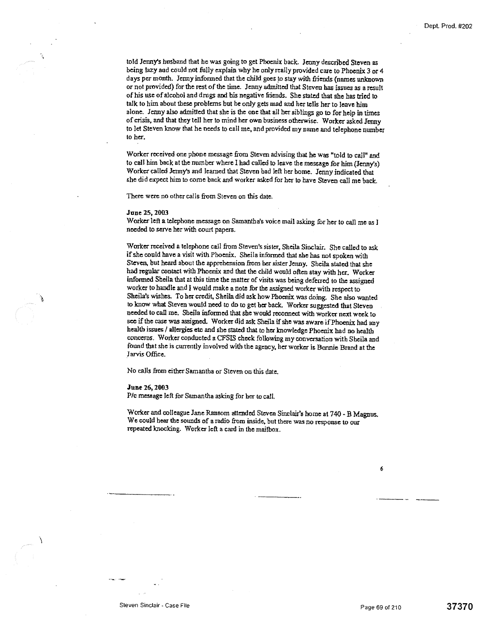told Jenny's husband that he was going to get Phoenix back. Jenny described Steven as being lazy and could not fully explain why he only really provided care to Phoenix 3 or 4 days per month. Jenny informed that the child goes to stay with friends (names unknown or not provided) for the rest of the time. Jenny admitted that Steven has issues as a result of his use of alcohol and drugs and his negative friends. She stated that she has tried to talk to him about these problems but he only gets mad and her tells her to leave him alone. Jenny also admitted that she is the one that all her siblings go to for help in times of crisis, and that they tell her to mind her own business otherwise. Worker asked Jenny to let Steven know that he needs to call me, and provided my name and telephone number to her.

Worker received one phone message from Steven advising that he was "told to call" and to call him back at the number where I had called to leave the message for him (Jenny's) Worker called Jenny's and learned that Steven bad left her home- Jenny indicated that she did expect him to come back and worker asked for her to have Steven call me back-

There were no other calls from Steven on this date.

#### **June 25, 2003**

Worker left a telephone message on Samantha's voice mail asking for her to call me as I needed to *serve* her with court papers.

Worker received a telephone call from Steven's sister, Sheila Sinclair. She called to ask if she could have a visit with Phoenix. Sheila informed that she has not spoken with Steven, but heard about the apprehension from her sister Jenny. Sheila stated that she had regular contact with Phoenix and that the child would often stay with her. Worker informed Sheila that at this time the matter of visits was being deferred to the assigned worker to handle and I would make a note for the assigned worker with respect to Sheila's wishes. To her credit, Sheila did ask how Phoenix was doing. She also wanted to know what Steven would need to do to get her back. Worker suggested that Steven needed to call me. Sheila informed that she would reconnect with worker next week to see if the case was assigned. Worker did ask Sheila if she was aware if Phoenix had any health issues / allergies etc and she stated that to her knowledge Phoenix had no health concerns. Worker conducted a CFSIS check following my conversation with Sheila and found that she is currently involved with the agency, her worker is Bonnie Brand at the Jarvis Office.

No calls from either Samantha or Steven on this date.

#### **June 25, 2003**

P/c message left for Samantha asking for her to call.

Worker and colleague Jane Ransom attznded Steven Sinetair's home at 740 - B Magnus. We could hear the sounds of a radio from inside, but there was no response to our repeated knocking. Worker Ieft a card in the mailbox.

6

À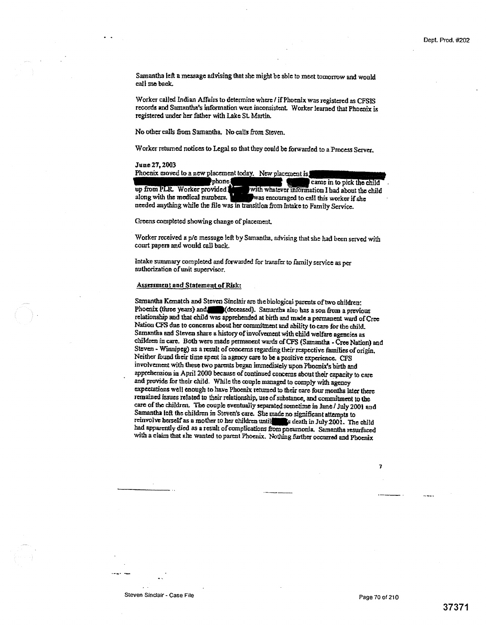Samantha left a message *advising* that she might be able to meet tomorrow and would call me back.

Worker called Indian Affairs to determine where / if Phoenix was registered as CFSIS records and Samantha's information were inconsistent Worker learned that Phoenix is registered under her father with Lake St. Martin.

No other calls from Samantha. No calls from Steven.

Worker returned notices to Legal so that they could be forwarded to a Pmcess *Server* 

#### June 27, 2003

| Phoenix moved to a new placement today. New placement is                        |  |  |  |  |
|---------------------------------------------------------------------------------|--|--|--|--|
| 'phone {<br>came in to pick the child                                           |  |  |  |  |
| with whatever information I had about the child<br>up from PLR. Worker provided |  |  |  |  |
| along with the medical numbers.<br>was encouraged to call this worker if she    |  |  |  |  |
| needed anything while the file was in transition from Intake to Family Service. |  |  |  |  |

Omens completed showing change of placement.

Worker received a p/c message left by Samantha, advising that she had been served with court papers and would call back.

Intake summary completed and forwarded for transfer to family service as per authorization of unit supervisor.

## Assessment and Statement of Risk:

Samantha Kematch and Steven Sinclair are the biological parents of two children: Phoenix (three years) and (deceased). Samantha also has a son from a previous relationship and that child was apprehended at birth and made a permanent ward of Cree Nation CFS due to concerns about her commitment and ability to cam for the child. Samantha and Steven share a history of involvement with child welfare agencies as children in care. Both were made permanent wards of CFS (Samantha - Cree Nation) and Steven - Winnipeg) as a result of concerns regarding their respective families of origin. Neither found their time spent in agency care to be a positive experience. CPS involvement with these two parents began immediately upon Phoenix's birth and apprehension in April 2000 because of continued concerns about their capacity to care and provide for their child. While the couple managed to comply with agency expectations well enough to have Phoenix returned to their care four months later there remained issues related to their relationship, use of substance, and commitment to the care of the children. The couple eventually separated sometime in June / July 2001 and Samantha left the *children* in Steven's care. She made no significant attempts to reinvolve herself as a mother to her children until s death in July 2001. The child bad apparently died as a result of complications *from* pneumonia. Samantha resurfaced with a claim that she wanted to parent *Phoenix.* Nothing further occurred and Phoenix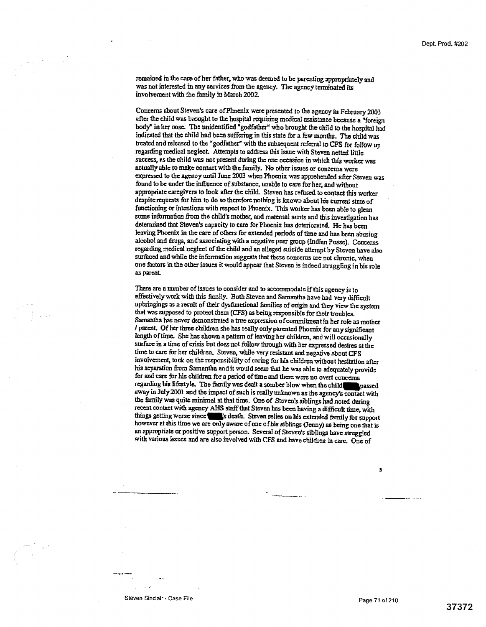remained in the cars of her father, who was deemed to be parenting appropriately and was not interested in any services from the agency, The agency terminated its involvement with the family in March 2002.

Concerns about Steven's care ofPhoenix were presented to the agency in February 2003 after the child was brought to the hospital requiring medical assistance because a "foreign body" in her nose. The unidentified "godfather" who brought the child to the hospital had indicated that the child had been suffering in this state for a few months. The child was treated and released to the "godfather" with the subsequent referral to CFS for follow up regarding medical neglect. Attempts to address this issue with Steven netted little success, es the child was not present during the one occasion in which this worker was actually able to make contact with the family. No other issues or concerns were expressed to the agency until June 2003 when Phoenix was apprehended after Steven was found to be under the influence of substance, unable to care forher, and without appropriate caregivers to took after the child. Steven has refused to contact this worker despite requests for him to do so thereforenothing is known about his current state of functioning or intentions with respect to Phoenix. This worker has been able to glean some information from the child's mother, and maternal aunts and this investigation has determined that Steven's capacity to care for Phoenix has deteriorated. He has been leaving Phoenix in the care of others for extended periods of time and has been abusing alcohol and drugs, *and* associating with a negative peer group (Indian Posse). Concerns regarding medical neglect of the child and an alleged suicide attempt by Steven have also surfaced and while the information suggests that these concerns are not chronic, when one factors in the other issues it would appear that Steven is indeed struggling in his role as parent.

There are a number of issues to consider and to accommodate if this agency is to effectively work with this family. Both Steven and Samantha have had very difficult upbringings as a result of their dysfunctional families of origin and they view the system that was supposed to protect them (CFS) as being responsible for their troubles. Samantha has never demonstrated a true expression of commitment in her role as mother / parent. Of her three children she has really only parented Phoenix for any significant length of time. She has shown a pattern of leaving her children, and will occasionally surface in a time of crisis but does not follow through with her expressed desires at the time to care for her children. Steven, while very resistant and negative about CFS involvement, took on the responsibility of caring for his children without hesitation after his separation from Samantha and it would *seem* that he was able to adequately provide for and care for his children for a period of time and there were no overt concerns regarding his lifestyle. The family was dealt a somber blow *when* the child\_passed away in July 2001 and the impact of such is really unknown as the agency's contact with the family was quite minimal at that time. One of Steven's siblings had noted during recent contact with agency AHS staff that Steven has been having a difficult time, with things getting worse since since is death. Steven relies on his extended family for support however at this time we are only aware of one ofhis siblings (deny) as being one that is an appropriate or positive support person. Several of Steven's siblings have struggled with various issues and are also involved with CFS and have children in care. One of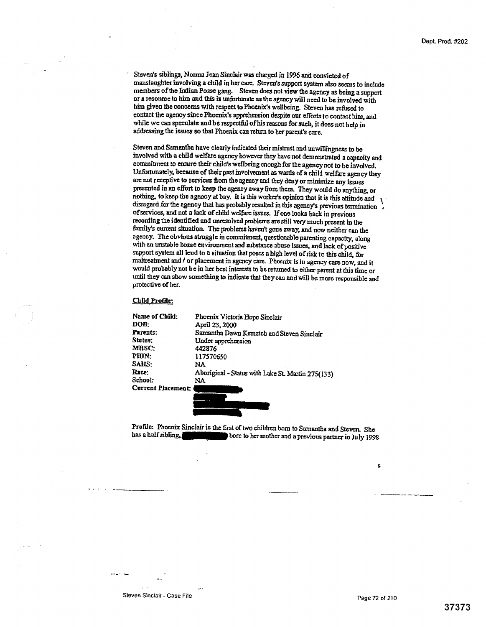• Steven's siblings, Norma Jean Sinclair was charged in 1996 and convicted of manslaughter involving a child in her case, Steven's support system also seems to include members of the Indian Posse gang. Steven does not view the agency as being a support or a resource to him and this is unfortunate as the agency will need to be involved with him given the concerns with respect to Phoenix's wellbeing. Steven has refused to contact the agency since Phoenix's apprehension despite our efforts to contact *him,* and while we can speculate and be respectful ofhis reasons for such, it does not help in addressing the issues *so that Phoenix can* return to her parent's care.

Steven and Samantha have clearly indicated their mistrust and unwillingness to be involved with a child welfare agency however they have not demonstrated a capacity and commitment to ensure their child's wellbeing enough for the agency not to be involved. Unfortunately. because of their past involvement as wards of a child welfare agency they arc not receptive to services from the agency and they deny or minimize any Issues presented in an effort to keep the agency away from them. They would do anything, or nothing, to keep the agency at bay. It is this worker's opinion that it is this attitude and disregard for the agency that has probably resulted in this agency's previous termination of services, and not a lack of child welfare issues, If one looks back in previous recording the identified and unresolved problems are still very much present in the family's current situation. The problems haven't gone away, and now neither can the agency. The obvious struggle in commitment, questionable parenting capacity, along with an unstable home environment and substance abuse lssuee, and lack of positive support system all lend to a situation that poses a high level of risk to this child, for maltreatment and / or placement in agency care. Phoenix is in agency care now, and it would probably not be in her best interests to be returned to either parent at this time or until they can show something to indicate that they can and will be more responsible and protective of her.

#### Child Profile:

Profile: Phoenix Sinclair is the first of two children born to Samantha and Steven. She<br>has a half sibling. born to her mother and a previous partner in July 1998

Steven Sinclair - Case File **Page 72 of 210**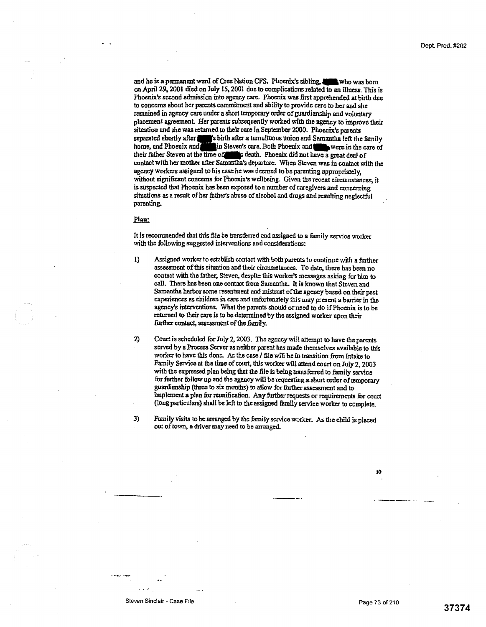and he is a permanent ward of Cree Nation CFS. Phoenix's sibling, who was born on April 29,2001 died on July 15.2001 due to complications related to an illness. This is Phoenix's second admission into agency care. Phoenix was first apprehended at birth due to concerns about her parents commitment and ability to provide care to her and she remained in agency care under a short temporary order of guardianship and voluntary placement agreement. Her parents subsequently worked with the agency to improve their situation and she was returned to their care in September 2000. Phoenix's parents separated shortly after a so so it the after a tumultuous union and Samantha left the family home, and Phoenix and in Steven's care. Both Phoenix and were in the care of their father Steven at the time of the death. Phoenix did not have a great deal of contact with her mother after Samantha's departure. When Steven was in contact with the agency workers assigned to his case he was deemed tobe parenting appropriately, without significant concerns for Phoenix's wellbeing. Given the recent circumstances, it is suspected that Phoenix has been exposed to a number of caregivers and concerning situations as a result of her father's abuse of alcohol and drugs and resulting neglectful parenting.

#### Plan:

It is recommended that this file be transferred and assigned to a family service worker with the following suggested interventions and considerations:

- Assigned worker to establish contact with both parents to continue with a further  $\bf{D}$ assessment of this situation and their circumstances. To date, there has been no contact with the father, Steven, despite this worker's messages asking for him to call. There has been one contact from Samantha. It is known that Steven and Samantha harbor some resentment and mistrust of the agency based on their past experiences as children in care and unfortunately this may present a barrier in the agency's interventions. What the parents should or need to do if Phoenix is to be returned to their care is to be determined by the assigned worker upon their further contact, assessment of the family.
- 2) Court is scheduled for July 2, 2003. The agency will attempt to have the parents served by a Process Server as neither parent has made themselves available to this worker to have this done. As the case / file will be in transition from Intake to Family Service at the time of court, this worker will attend court on July 2, 2003 with the expressed plan being that the file Is being transferred to family service for further follow up and the agency will be requesting a short order of temporary guardianship (three to six months) to allow for further assessment and to implement a plan for reunification. Any further requests or requirements for court (long particulars) shall be left to the assigned family service worker to complete.
- 3) Family visits to be arranged by the family service worker. As the child is placed out of town, a driver may need to be arranged.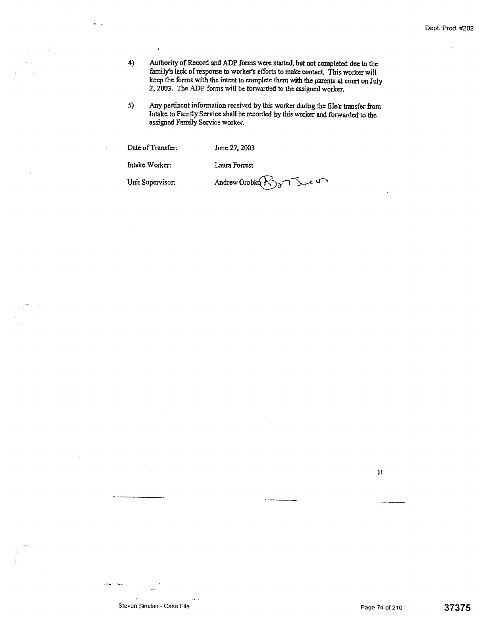- 4) Authority of Record and ADP forms were started, but not completed due to the family's lack of response to worker's efforts to make contact. This worker will keep the forms with the intent to complete them with the parents at court on July 2, 2003. The ADP forms will be forwarded to the assigned worker.
- 5) Any pertinent information received by this worker during the file's transfer from Intake to Family Service shall be recorded by this worker and forwarded to the assigned Family Service worker.

| Date of Transfer: | June 27, 2003        |
|-------------------|----------------------|
| Intake Worker:    | Laura Forrest        |
| Unit Supervisor:  | Andrew Orobko K 3 75 |

 $\ddot{\phantom{0}}$ 

 $\bar{\mathbf{H}}$ 

 $\sim$   $\sim$ 

werk st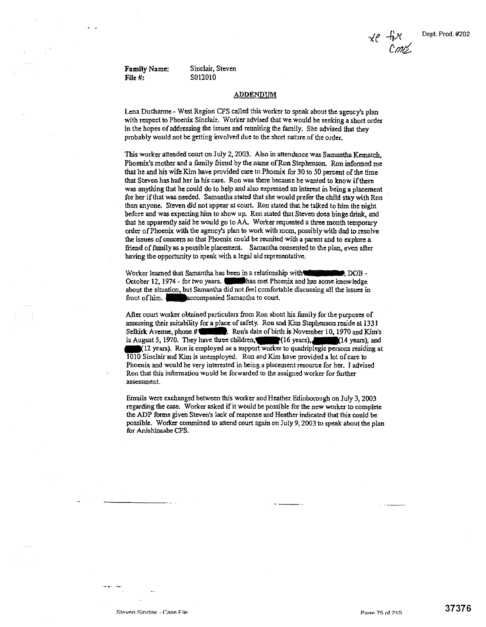**File #:** S012010

Family Name: Sinclair, Steven

#### **ADDENDUM**

Lena Ducharme - West Region CFS called this worker to speak about the agency's plan with respect to Phoenix Sinclair. Worker advised that we would be seeking a short order in the hopes of addressing the issues and reuniting the family. She advised that they probably would not be getting involved due to the short nature of the order.

This worker attended court on July 2, 2003. Also in attendance was Samantha Kematch, Phoenix's mother and a family friend by the name of Ron Stephenson *Ron* informed me that he and his wife Kim have provided care to Phoenix for 30 to 50 percent of the time that Steven has had her in his care. Ron was there because he wanted to know if there was anything that he could do to help and also expressed an interest in being a placement for her if that was needed. Samantha stated that she would prefer the child stay with Ron than anyone. Steven did not appear at court. Ron stated that he talked to him the night before and was expecting him to show up. Ron stated that Steven does binge drink, and that he apparently said he would go to AA- Worker requested a three month temporary order of Phoenix with the agency's plan to work with mom, possibly with dad to resolve the issues of concern so that Phoenix could be reunited with a parent and to explore a friend of family as a possible placement. Samantha consented to the plan, even after having the opportunity to speak with a legal aid representative.

Worker learned that Samantha has been in a relationship with  $\blacksquare$  . DOB -October 12, 1974 - for two years. Thus met Phoenix and has some knowledge about the situation, but Samantha did not feel comfortable discussing all the issues in front of him. **companied Samantha to court**.

After court worker obtained particulars from Ron about his family for the purposes of assessing their suitability for a place of safety. Ron and Kim Stephenson reside at 1331<br>Selkirk Avenue, phone # (1999). Ron's date of birth is November 10, 1970 and Kim' Ron's date of birth is November 10, 1970 and Kim's is August 5, 1970. They have three children, (16 years), 14 years), and I(12 years), Ron is employed as a support worker to quadriplegic persons residing at 1010 Sinclair and Kim is unemployed. Ron and Kim have provided a lot of care to Phoenix and would be very interested in being a placement resource for her. I advised *Ron* that this inforrnation would be forwarded to the assigned worker for further assessment.

Ernails were *exchanged* between this worker and Heather. Edinborougb on July 3, 2003 regarding the case. Worker asked if it would be possible for the now worker to complete the ADP forms given Steven's lack of response and Heather indicated that this could be possible. Worker committed to attend court again on July 9, 2003 to speak about the plan for Anishinaaba CFS.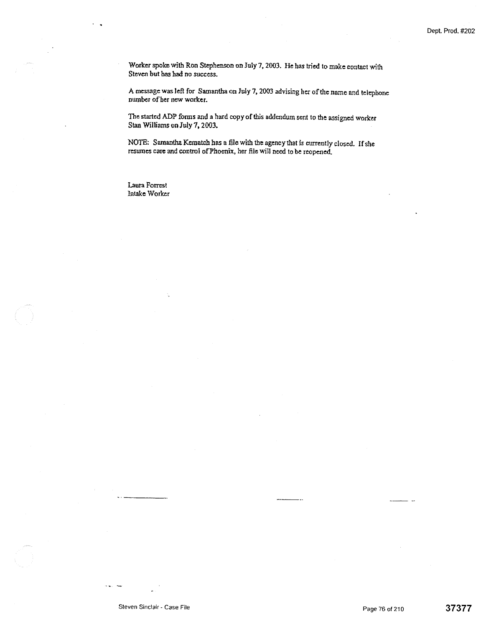Worker spoke with Ron Stephenson on July 7, 2003. He *has tried* to make contact with Steven but has had no success.

A message was left for Samantha on July 7, 2003 advising her of the name and telephone number of her new worker.

The started ADP forms and a hard copy of this addendum sent to the assigned worker *Stan Williams on July 7,* 2003.

NOTE: Samantha Kcmatch has a file with the agency that is currently closed. If she resumes care and control of Phoenix, her file will need to be *reopened.* 

Laura Forrest Intake Worker

 $\mathbf{r}$